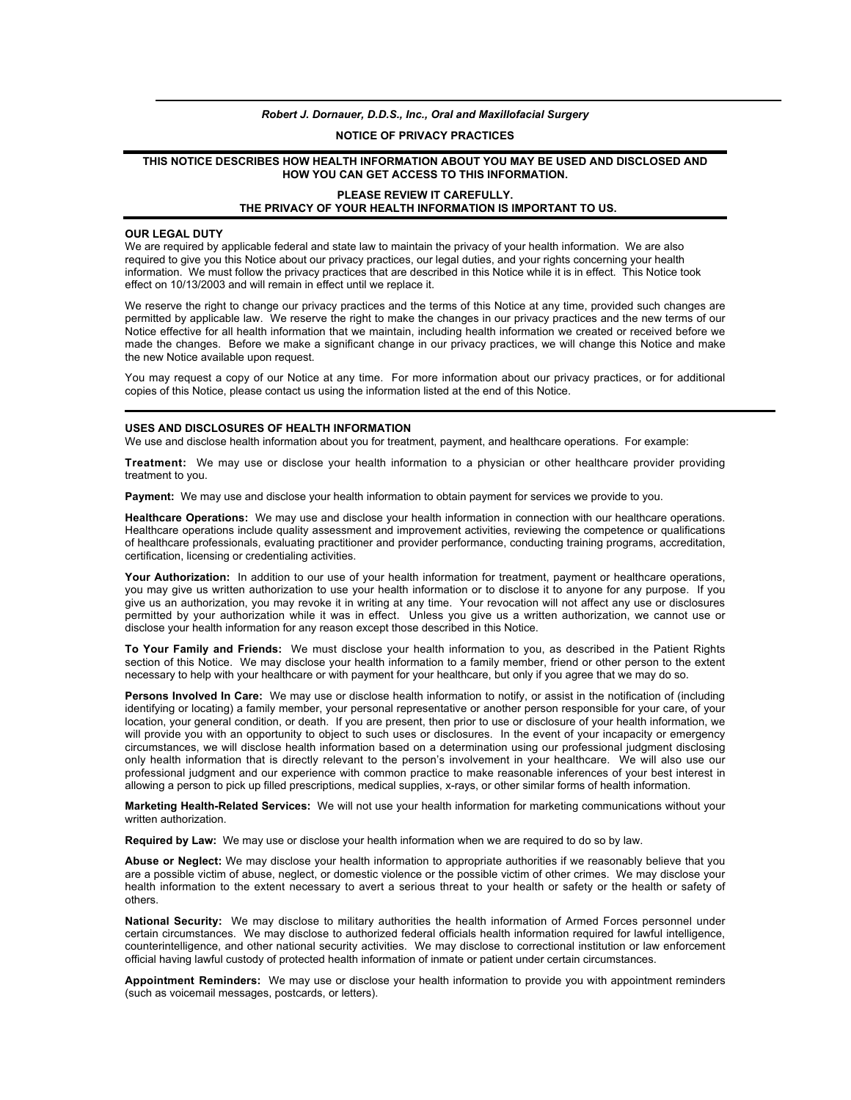# *Robert J. Dornauer, D.D.S., Inc., Oral and Maxillofacial Surgery*

#### **NOTICE OF PRIVACY PRACTICES**

## **THIS NOTICE DESCRIBES HOW HEALTH INFORMATION ABOUT YOU MAY BE USED AND DISCLOSED AND HOW YOU CAN GET ACCESS TO THIS INFORMATION.**

## **PLEASE REVIEW IT CAREFULLY. THE PRIVACY OF YOUR HEALTH INFORMATION IS IMPORTANT TO US.**

### **OUR LEGAL DUTY**

We are required by applicable federal and state law to maintain the privacy of your health information. We are also required to give you this Notice about our privacy practices, our legal duties, and your rights concerning your health information. We must follow the privacy practices that are described in this Notice while it is in effect. This Notice took effect on 10/13/2003 and will remain in effect until we replace it.

We reserve the right to change our privacy practices and the terms of this Notice at any time, provided such changes are permitted by applicable law. We reserve the right to make the changes in our privacy practices and the new terms of our Notice effective for all health information that we maintain, including health information we created or received before we made the changes. Before we make a significant change in our privacy practices, we will change this Notice and make the new Notice available upon request.

You may request a copy of our Notice at any time. For more information about our privacy practices, or for additional copies of this Notice, please contact us using the information listed at the end of this Notice.

#### **USES AND DISCLOSURES OF HEALTH INFORMATION**

We use and disclose health information about you for treatment, payment, and healthcare operations. For example:

**Treatment:** We may use or disclose your health information to a physician or other healthcare provider providing treatment to you.

**Payment:** We may use and disclose your health information to obtain payment for services we provide to you.

**Healthcare Operations:** We may use and disclose your health information in connection with our healthcare operations. Healthcare operations include quality assessment and improvement activities, reviewing the competence or qualifications of healthcare professionals, evaluating practitioner and provider performance, conducting training programs, accreditation, certification, licensing or credentialing activities.

Your Authorization: In addition to our use of your health information for treatment, payment or healthcare operations, you may give us written authorization to use your health information or to disclose it to anyone for any purpose. If you give us an authorization, you may revoke it in writing at any time. Your revocation will not affect any use or disclosures permitted by your authorization while it was in effect. Unless you give us a written authorization, we cannot use or disclose your health information for any reason except those described in this Notice.

**To Your Family and Friends:** We must disclose your health information to you, as described in the Patient Rights section of this Notice. We may disclose your health information to a family member, friend or other person to the extent necessary to help with your healthcare or with payment for your healthcare, but only if you agree that we may do so.

**Persons Involved In Care:** We may use or disclose health information to notify, or assist in the notification of (including identifying or locating) a family member, your personal representative or another person responsible for your care, of your location, your general condition, or death. If you are present, then prior to use or disclosure of your health information, we will provide you with an opportunity to object to such uses or disclosures. In the event of your incapacity or emergency circumstances, we will disclose health information based on a determination using our professional judgment disclosing only health information that is directly relevant to the person's involvement in your healthcare. We will also use our professional judgment and our experience with common practice to make reasonable inferences of your best interest in allowing a person to pick up filled prescriptions, medical supplies, x-rays, or other similar forms of health information.

**Marketing Health-Related Services:** We will not use your health information for marketing communications without your written authorization.

**Required by Law:** We may use or disclose your health information when we are required to do so by law.

**Abuse or Neglect:** We may disclose your health information to appropriate authorities if we reasonably believe that you are a possible victim of abuse, neglect, or domestic violence or the possible victim of other crimes. We may disclose your health information to the extent necessary to avert a serious threat to your health or safety or the health or safety of others.

**National Security:** We may disclose to military authorities the health information of Armed Forces personnel under certain circumstances. We may disclose to authorized federal officials health information required for lawful intelligence, counterintelligence, and other national security activities. We may disclose to correctional institution or law enforcement official having lawful custody of protected health information of inmate or patient under certain circumstances.

**Appointment Reminders:** We may use or disclose your health information to provide you with appointment reminders (such as voicemail messages, postcards, or letters).